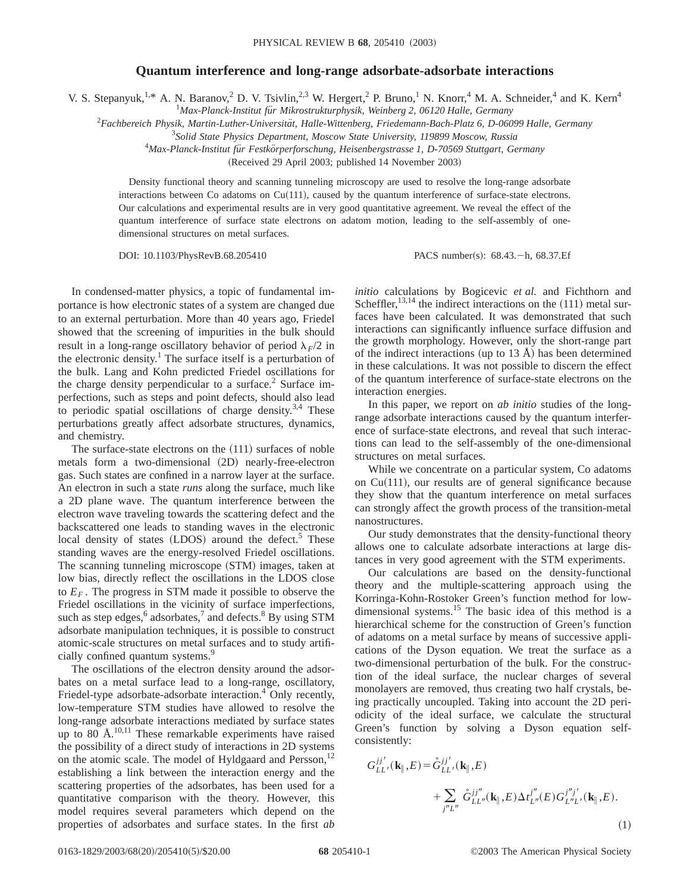## **Quantum interference and long-range adsorbate-adsorbate interactions**

V. S. Stepanyuk,<sup>1,\*</sup> A. N. Baranov,<sup>2</sup> D. V. Tsivlin,<sup>2,3</sup> W. Hergert,<sup>2</sup> P. Bruno,<sup>1</sup> N. Knorr,<sup>4</sup> M. A. Schneider,<sup>4</sup> and K. Kern<sup>4</sup>

<sup>1</sup>Max-Planck-Institut für Mikrostrukturphysik, Weinberg 2, 06120 Halle, Germany

<sup>2</sup>Fachbereich Physik, Martin-Luther-Universität, Halle-Wittenberg, Friedemann-Bach-Platz 6, D-06099 Halle, Germany

3 *Solid State Physics Department, Moscow State University, 119899 Moscow, Russia*

4 *Max-Planck-Institut fu¨r Festko¨rperforschung, Heisenbergstrasse 1, D-70569 Stuttgart, Germany*

(Received 29 April 2003; published 14 November 2003)

Density functional theory and scanning tunneling microscopy are used to resolve the long-range adsorbate interactions between Co adatoms on  $Cu(111)$ , caused by the quantum interference of surface-state electrons. Our calculations and experimental results are in very good quantitative agreement. We reveal the effect of the quantum interference of surface state electrons on adatom motion, leading to the self-assembly of onedimensional structures on metal surfaces.

DOI: 10.1103/PhysRevB.68.205410 PACS number(s): 68.43. - h, 68.37.Ef

In condensed-matter physics, a topic of fundamental importance is how electronic states of a system are changed due to an external perturbation. More than 40 years ago, Friedel showed that the screening of impurities in the bulk should result in a long-range oscillatory behavior of period  $\lambda_F/2$  in the electronic density.<sup>1</sup> The surface itself is a perturbation of the bulk. Lang and Kohn predicted Friedel oscillations for the charge density perpendicular to a surface.<sup>2</sup> Surface imperfections, such as steps and point defects, should also lead to periodic spatial oscillations of charge density.<sup>3,4</sup> These perturbations greatly affect adsorbate structures, dynamics, and chemistry.

The surface-state electrons on the  $(111)$  surfaces of noble metals form a two-dimensional  $(2D)$  nearly-free-electron gas. Such states are confined in a narrow layer at the surface. An electron in such a state *runs* along the surface, much like a 2D plane wave. The quantum interference between the electron wave traveling towards the scattering defect and the backscattered one leads to standing waves in the electronic local density of states  $(LDOS)$  around the defect.<sup>5</sup> These standing waves are the energy-resolved Friedel oscillations. The scanning tunneling microscope (STM) images, taken at low bias, directly reflect the oscillations in the LDOS close to  $E_F$ . The progress in STM made it possible to observe the Friedel oscillations in the vicinity of surface imperfections, such as step edges, $6$  adsorbates, $7$  and defects. $8$  By using STM adsorbate manipulation techniques, it is possible to construct atomic-scale structures on metal surfaces and to study artificially confined quantum systems.<sup>9</sup>

The oscillations of the electron density around the adsorbates on a metal surface lead to a long-range, oscillatory, Friedel-type adsorbate-adsorbate interaction.<sup>4</sup> Only recently, low-temperature STM studies have allowed to resolve the long-range adsorbate interactions mediated by surface states up to  $80 \text{ Å}^{10,11}$  These remarkable experiments have raised the possibility of a direct study of interactions in 2D systems on the atomic scale. The model of Hyldgaard and Persson,<sup>12</sup> establishing a link between the interaction energy and the scattering properties of the adsorbates, has been used for a quantitative comparison with the theory. However, this model requires several parameters which depend on the properties of adsorbates and surface states. In the first *ab* *initio* calculations by Bogicevic *et al.* and Fichthorn and Scheffler,  $^{13,14}$  the indirect interactions on the  $(111)$  metal surfaces have been calculated. It was demonstrated that such interactions can significantly influence surface diffusion and the growth morphology. However, only the short-range part of the indirect interactions (up to  $13 \text{ Å}$ ) has been determined in these calculations. It was not possible to discern the effect of the quantum interference of surface-state electrons on the interaction energies.

In this paper, we report on *ab initio* studies of the longrange adsorbate interactions caused by the quantum interference of surface-state electrons, and reveal that such interactions can lead to the self-assembly of the one-dimensional structures on metal surfaces.

While we concentrate on a particular system, Co adatoms on  $Cu(111)$ , our results are of general significance because they show that the quantum interference on metal surfaces can strongly affect the growth process of the transition-metal nanostructures.

Our study demonstrates that the density-functional theory allows one to calculate adsorbate interactions at large distances in very good agreement with the STM experiments.

Our calculations are based on the density-functional theory and the multiple-scattering approach using the Korringa-Kohn-Rostoker Green's function method for lowdimensional systems.<sup>15</sup> The basic idea of this method is a hierarchical scheme for the construction of Green's function of adatoms on a metal surface by means of successive applications of the Dyson equation. We treat the surface as a two-dimensional perturbation of the bulk. For the construction of the ideal surface, the nuclear charges of several monolayers are removed, thus creating two half crystals, being practically uncoupled. Taking into account the 2D periodicity of the ideal surface, we calculate the structural Green's function by solving a Dyson equation selfconsistently:

$$
G_{LL'}^{jj'}(\mathbf{k}_{\parallel},E) = \mathring{G}_{LL'}^{jj'}(\mathbf{k}_{\parallel},E) + \sum_{j''L''} \mathring{G}_{LL''}^{jj''}(\mathbf{k}_{\parallel},E) \Delta t_{L''}^{j''}(E) G_{L''L'}^{j''j'}(\mathbf{k}_{\parallel},E).
$$
\n(1)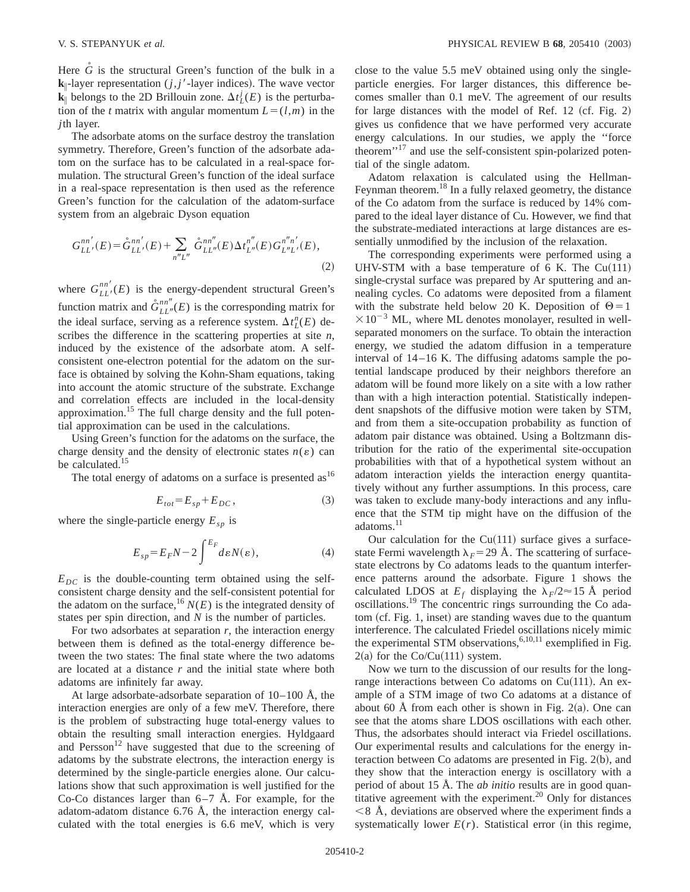Here *G* is the structural Green's function of the bulk in a  $k_{\parallel}$ -layer representation (*j*, *j'*-layer indices). The wave vector  $\mathbf{k}_{\parallel}$  belongs to the 2D Brillouin zone.  $\Delta t_L^j(E)$  is the perturbation of the *t* matrix with angular momentum  $L = (l, m)$  in the *j*th layer.

The adsorbate atoms on the surface destroy the translation symmetry. Therefore, Green's function of the adsorbate adatom on the surface has to be calculated in a real-space formulation. The structural Green's function of the ideal surface in a real-space representation is then used as the reference Green's function for the calculation of the adatom-surface system from an algebraic Dyson equation

$$
G_{LL'}^{nn'}(E) = \mathring{G}_{LL'}^{nn'}(E) + \sum_{n''L''} \mathring{G}_{LL''}^{nn''}(E) \Delta t_{L''}^{n''}(E) G_{L''L'}^{n''n'}(E),
$$
\n(2)

where  $G_{LL}^{nn'}(E)$  is the energy-dependent structural Green's function matrix and  $\mathring{G}_{LL''}^{nn''}(E)$  is the corresponding matrix for the ideal surface, serving as a reference system.  $\Delta t_L^n(E)$  describes the difference in the scattering properties at site *n*, induced by the existence of the adsorbate atom. A selfconsistent one-electron potential for the adatom on the surface is obtained by solving the Kohn-Sham equations, taking into account the atomic structure of the substrate. Exchange and correlation effects are included in the local-density approximation.15 The full charge density and the full potential approximation can be used in the calculations.

Using Green's function for the adatoms on the surface, the charge density and the density of electronic states  $n(\varepsilon)$  can be calculated.<sup>15</sup>

The total energy of adatoms on a surface is presented  $as<sup>16</sup>$ 

$$
E_{tot} = E_{sp} + E_{DC},\tag{3}
$$

where the single-particle energy  $E_{sp}$  is

$$
E_{sp} = E_F N - 2 \int_{-\infty}^{E_F} d\varepsilon N(\varepsilon), \tag{4}
$$

 $E_{DC}$  is the double-counting term obtained using the selfconsistent charge density and the self-consistent potential for the adatom on the surface,  $^{16} N(E)$  is the integrated density of states per spin direction, and *N* is the number of particles.

For two adsorbates at separation *r*, the interaction energy between them is defined as the total-energy difference between the two states: The final state where the two adatoms are located at a distance *r* and the initial state where both adatoms are infinitely far away.

At large adsorbate-adsorbate separation of  $10-100$  Å, the interaction energies are only of a few meV. Therefore, there is the problem of substracting huge total-energy values to obtain the resulting small interaction energies. Hyldgaard and Persson<sup>12</sup> have suggested that due to the screening of adatoms by the substrate electrons, the interaction energy is determined by the single-particle energies alone. Our calculations show that such approximation is well justified for the Co-Co distances larger than 6–7 Å. For example, for the adatom-adatom distance 6.76 Å, the interaction energy calculated with the total energies is 6.6 meV, which is very close to the value 5.5 meV obtained using only the singleparticle energies. For larger distances, this difference becomes smaller than 0.1 meV. The agreement of our results for large distances with the model of Ref.  $12 ~ (cf. Fig. 2)$ gives us confidence that we have performed very accurate energy calculations. In our studies, we apply the ''force theorem'<sup>17</sup> and use the self-consistent spin-polarized potential of the single adatom.

Adatom relaxation is calculated using the Hellman-Feynman theorem.<sup>18</sup> In a fully relaxed geometry, the distance of the Co adatom from the surface is reduced by 14% compared to the ideal layer distance of Cu. However, we find that the substrate-mediated interactions at large distances are essentially unmodified by the inclusion of the relaxation.

The corresponding experiments were performed using a UHV-STM with a base temperature of 6 K. The  $Cu(111)$ single-crystal surface was prepared by Ar sputtering and annealing cycles. Co adatoms were deposited from a filament with the substrate held below 20 K. Deposition of  $\Theta = 1$  $\times 10^{-3}$  ML, where ML denotes monolayer, resulted in wellseparated monomers on the surface. To obtain the interaction energy, we studied the adatom diffusion in a temperature interval of 14–16 K. The diffusing adatoms sample the potential landscape produced by their neighbors therefore an adatom will be found more likely on a site with a low rather than with a high interaction potential. Statistically independent snapshots of the diffusive motion were taken by STM, and from them a site-occupation probability as function of adatom pair distance was obtained. Using a Boltzmann distribution for the ratio of the experimental site-occupation probabilities with that of a hypothetical system without an adatom interaction yields the interaction energy quantitatively without any further assumptions. In this process, care was taken to exclude many-body interactions and any influence that the STM tip might have on the diffusion of the adatoms.<sup>11</sup>

Our calculation for the  $Cu(111)$  surface gives a surfacestate Fermi wavelength  $\lambda_F$ = 29 Å. The scattering of surfacestate electrons by Co adatoms leads to the quantum interference patterns around the adsorbate. Figure 1 shows the calculated LDOS at  $E_f$  displaying the  $\lambda_F/2 \approx 15$  Å period oscillations.<sup>19</sup> The concentric rings surrounding the Co adatom (cf. Fig. 1, inset) are standing waves due to the quantum interference. The calculated Friedel oscillations nicely mimic the experimental STM observations,  $6,10,11$  exemplified in Fig.  $2(a)$  for the Co/Cu(111) system.

Now we turn to the discussion of our results for the longrange interactions between Co adatoms on Cu $(111)$ . An example of a STM image of two Co adatoms at a distance of about 60 Å from each other is shown in Fig. 2(a). One can see that the atoms share LDOS oscillations with each other. Thus, the adsorbates should interact via Friedel oscillations. Our experimental results and calculations for the energy interaction between Co adatoms are presented in Fig.  $2(b)$ , and they show that the interaction energy is oscillatory with a period of about 15 Å. The *ab initio* results are in good quantitative agreement with the experiment.<sup>20</sup> Only for distances  $\leq$  8 Å, deviations are observed where the experiment finds a systematically lower  $E(r)$ . Statistical error (in this regime,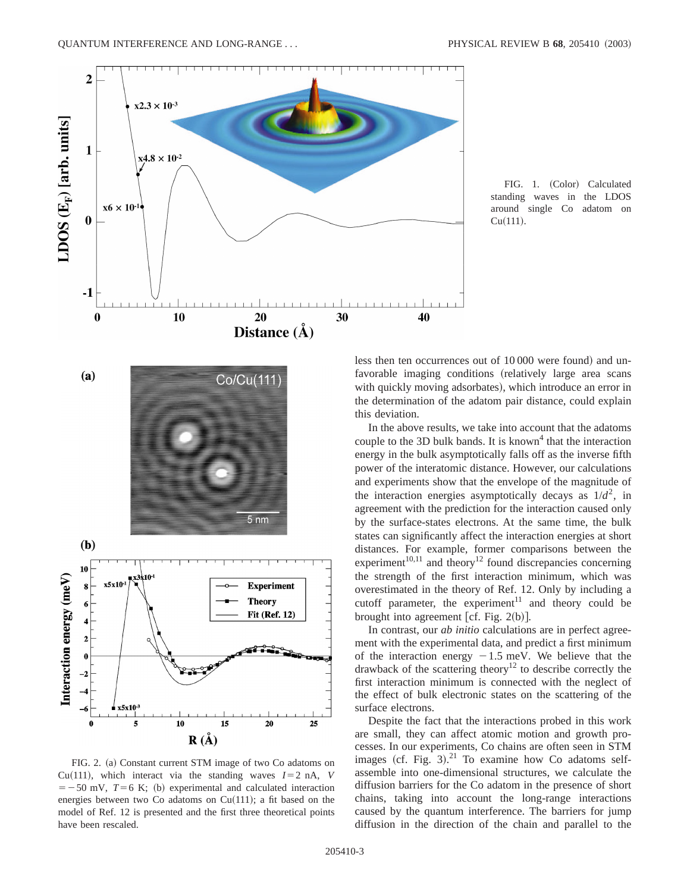

FIG. 1. (Color) Calculated standing waves in the LDOS around single Co adatom on  $Cu(111).$ 



less then ten occurrences out of 10000 were found) and unfavorable imaging conditions (relatively large area scans with quickly moving adsorbates), which introduce an error in the determination of the adatom pair distance, could explain this deviation.

In the above results, we take into account that the adatoms couple to the 3D bulk bands. It is known<sup>4</sup> that the interaction energy in the bulk asymptotically falls off as the inverse fifth power of the interatomic distance. However, our calculations and experiments show that the envelope of the magnitude of the interaction energies asymptotically decays as  $1/d^2$ , in agreement with the prediction for the interaction caused only by the surface-states electrons. At the same time, the bulk states can significantly affect the interaction energies at short distances. For example, former comparisons between the  $experiment<sup>10,11</sup>$  and theory<sup>12</sup> found discrepancies concerning the strength of the first interaction minimum, which was overestimated in the theory of Ref. 12. Only by including a cutoff parameter, the experiment<sup>11</sup> and theory could be brought into agreement  $[cf. Fig. 2(b)].$ 

In contrast, our *ab initio* calculations are in perfect agreement with the experimental data, and predict a first minimum of the interaction energy  $-1.5$  meV. We believe that the drawback of the scattering theory<sup>12</sup> to describe correctly the first interaction minimum is connected with the neglect of the effect of bulk electronic states on the scattering of the surface electrons.

Despite the fact that the interactions probed in this work are small, they can affect atomic motion and growth processes. In our experiments, Co chains are often seen in STM images (cf. Fig.  $3$ ).<sup>21</sup> To examine how Co adatoms selfassemble into one-dimensional structures, we calculate the diffusion barriers for the Co adatom in the presence of short chains, taking into account the long-range interactions caused by the quantum interference. The barriers for jump diffusion in the direction of the chain and parallel to the

FIG. 2. (a) Constant current STM image of two Co adatoms on Cu(111), which interact via the standing waves  $I=2$  nA, *V*  $=$  -50 mV,  $T=$  6 K; (b) experimental and calculated interaction energies between two Co adatoms on  $Cu(111)$ ; a fit based on the model of Ref. 12 is presented and the first three theoretical points have been rescaled.

 $\mathbf{R}(\check{\mathbf{A}})$ 

10

 $20$ 

15

 $25$ 

 $x5x10$ 5

0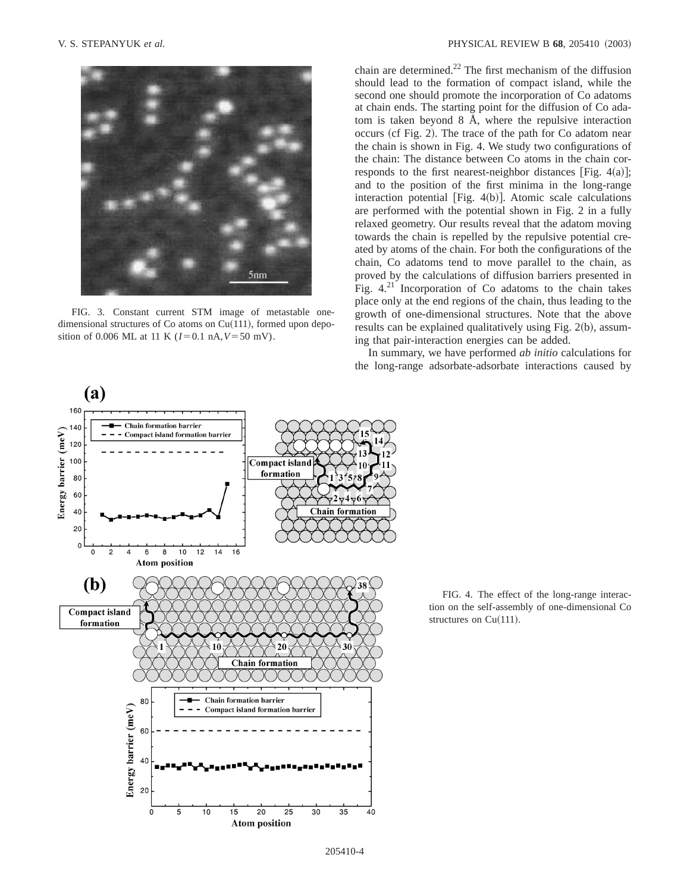

FIG. 3. Constant current STM image of metastable onedimensional structures of Co atoms on  $Cu(111)$ , formed upon deposition of 0.006 ML at 11 K  $(I=0.1 \text{ nA}, V=50 \text{ mV})$ .

chain are determined.<sup>22</sup> The first mechanism of the diffusion should lead to the formation of compact island, while the second one should promote the incorporation of Co adatoms at chain ends. The starting point for the diffusion of Co adatom is taken beyond 8 Å, where the repulsive interaction occurs (cf Fig. 2). The trace of the path for Co adatom near the chain is shown in Fig. 4. We study two configurations of the chain: The distance between Co atoms in the chain corresponds to the first nearest-neighbor distances [Fig.  $4(a)$ ]; and to the position of the first minima in the long-range interaction potential [Fig.  $4(b)$ ]. Atomic scale calculations are performed with the potential shown in Fig. 2 in a fully relaxed geometry. Our results reveal that the adatom moving towards the chain is repelled by the repulsive potential created by atoms of the chain. For both the configurations of the chain, Co adatoms tend to move parallel to the chain, as proved by the calculations of diffusion barriers presented in Fig.  $4.^{21}$  Incorporation of Co adatoms to the chain takes place only at the end regions of the chain, thus leading to the growth of one-dimensional structures. Note that the above results can be explained qualitatively using Fig.  $2(b)$ , assuming that pair-interaction energies can be added.

In summary, we have performed *ab initio* calculations for the long-range adsorbate-adsorbate interactions caused by



FIG. 4. The effect of the long-range interaction on the self-assembly of one-dimensional Co structures on  $Cu(111)$ .